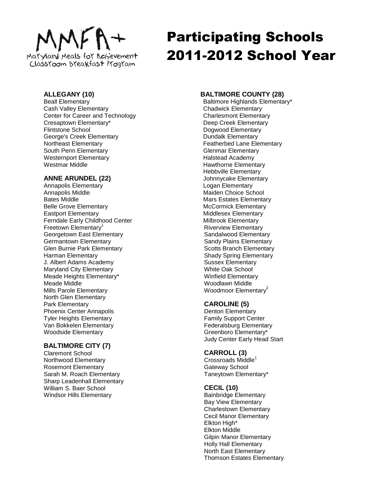# Maryland Meals for Achievement

Classroom Breakfast Program

# Participating Schools 2011-2012 School Year

# **ALLEGANY (10)**

Beall Elementary Cash Valley Elementary Center for Career and Technology Cresaptown Elementary\* Flintstone School George's Creek Elementary Northeast Elementary South Penn Elementary Westernport Elementary Westmar Middle

# **ANNE ARUNDEL (22)**

Annapolis Elementary Annapolis Middle Bates Middle Belle Grove Elementary Eastport Elementary Ferndale Early Childhood Center Freetown Elementary<sup>1</sup> Georgetown East Elementary Germantown Elementary Glen Burnie Park Elementary Harman Elementary J. Albert Adams Academy Maryland City Elementary Meade Heights Elementary\* Meade Middle Mills Parole Elementary North Glen Elementary Park Elementary Phoenix Center Annapolis Tyler Heights Elementary Van Bokkelen Elementary Woodside Elementary

# **BALTIMORE CITY (7)**

Claremont School Northwood Elementary Rosemont Elementary Sarah M. Roach Elementary Sharp Leadenhall Elementary William S. Baer School Windsor Hills Elementary

# **BALTIMORE COUNTY (28)**

Baltimore Highlands Elementary\* Chadwick Elementary Charlesmont Elementary Deep Creek Elementary Dogwood Elementary Dundalk Elementary Featherbed Lane Elementary Glenmar Elementary Halstead Academy Hawthorne Elementary Hebbville Elementary Johnnycake Elementary Logan Elementary Maiden Choice School Mars Estates Elementary McCormick Elementary Middlesex Elementary Milbrook Elementary Riverview Elementary Sandalwood Elementary Sandy Plains Elementary Scotts Branch Elementary Shady Spring Elementary Sussex Elementary White Oak School Winfield Elementary Woodlawn Middle Woodmoor Elementary<sup>2</sup>

# **CAROLINE (5)**

Denton Elementary Family Support Center Federalsburg Elementary Greenboro Elementary\* Judy Center Early Head Start

## **CARROLL (3)**

 $Crossroads$  Middle<sup>1</sup> Gateway School Taneytown Elementary\*

# **CECIL (10)**

Bainbridge Elementary Bay View Elementary Charlestown Elementary Cecil Manor Elementary Elkton High\* Elkton Middle Gilpin Manor Elementary Holly Hall Elementary North East Elementary Thomson Estates Elementary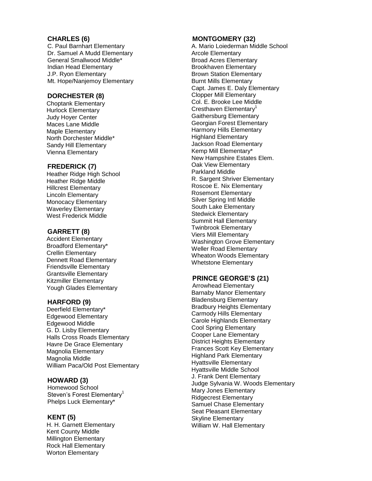#### **CHARLES ( 6 )**

C . Paul Barnhart Elementary D r . Samuel A Mudd Elementary General Smallwood Middle\* Indian Head Elementary J.P. Ryon Elementary Mt . Hope/Nanjemoy Elementary

## **DORCHESTER ( 8 )**

Choptank Elementary Hurlock Elementary Judy Hoyer Center Maces Lane Middle Maple Elementary North Dorchester Middle\* Sandy Hill Elementary Vienna Elementary

#### **FREDERICK ( 7 )**

Heather Ridge High School Heather Ridge Middle Hillcrest Elementary Lincoln Elementary Monocacy Elementary Waverley Elementary West Frederick Middle

#### **GARRETT ( 8 )**

Accident Elementary Broadford Elementary\* Crellin Elementary Dennett Road Elementary Friendsville Elementary Grantsville Elementary Kitzmiller Elementary Yough Glades Elementary

#### **HARFORD ( 9 )**

Deerfield Elementary\* Edgewood Elementary Edgewood Middle G. D. Lisby Elementary Halls Cross Roads Elementary Havre De Grace Elementary Magnolia Elementary Magnolia Middle William Paca/Old Post Elementary

#### **HOWARD ( 3 )**

Homewood School Steven's Forest Elementary<sup>1</sup> Phelps Luck Elementary\*

#### **KENT ( 5 )**

H . H . Garnett Elementary Kent County Middle Millington Elementary Rock Hall Elementary Worton Elementary

#### **MONTGOMERY ( 3 2 )**

A . Mario Loiederman Middle School Arcole Elementary Broad Acres Elementary Brookhaven Elementary Brown Station Elementary Burnt Mills Elementary Capt. James E. Daly Elementary Clopper Mill Elementary Col. E. Brooke Lee Middle Cresthaven Elementary<sup>1</sup> Gaithersburg Elementary Georgian Forest Elementary Harmony Hills Elementary Highland Elementary Jackson Road Elementary Kemp Mill Elementary\* New Hampshire Estates Elem . Oak View Elementary Parkland Middle R . Sargent Shriver Elementary Roscoe E . Nix Elementary Rosemont Elementary Silver Spring Intl Middle South Lake Elementary Stedwick Elementary Summit Hall Elementary Twinbrook Elementary Viers Mill Elementary Washington Grove Elementary Weller Road Elementary Wheaton Woods Elementary Whetstone Elementary

#### **PRINCE GEORGE'S (2 1 )**

Arrowhead Elementary Barnaby Manor Elementary Bladensburg Elementary Bradbury Heights Elementary Carmody Hills Elementary Carole Highlands Elementary Cool Spring Elementary Cooper Lane Elementary District Heights Elementary Frances Scott Key Elementary Highland Park Elementary Hyattsville Elementary Hyattsville Middle School J. Frank Dent Elementary Judge Sylvania W. Woods Elementary Mary Jones Elementary Ridgecrest Elementary Samuel Chase Elementary Seat Pleasant Elementary Skyline Elementary William W. Hall Elementary